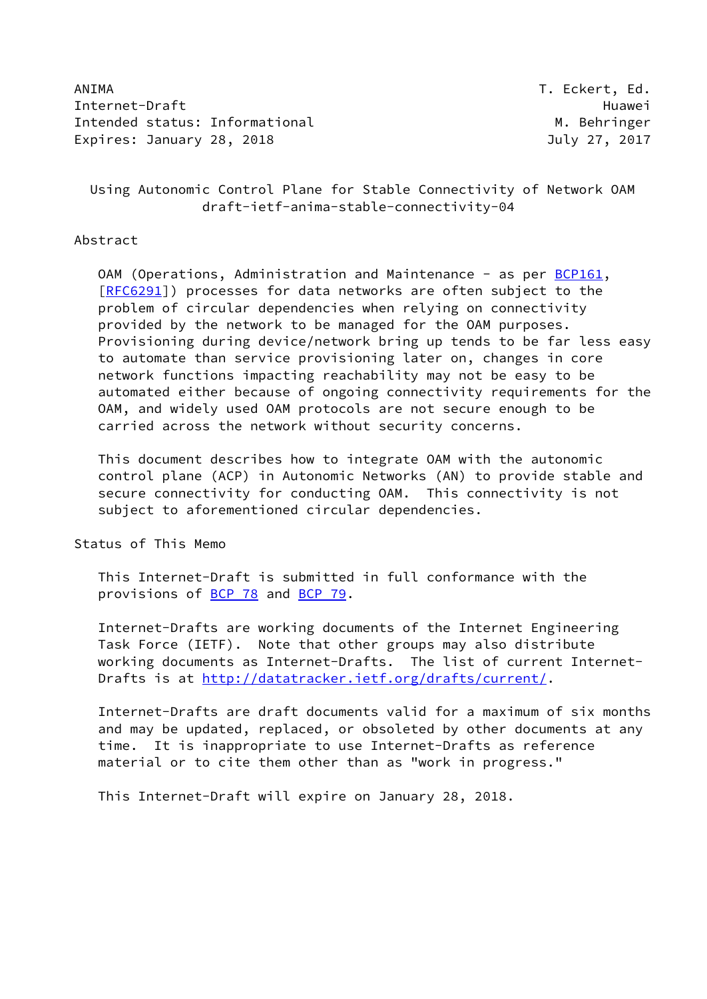ANIMA T. Eckert, Ed. Internet-Draft Huawei Intended status: Informational M. Behringer Expires: January 28, 2018 **Internal Contract Contract Contract Contract Contract Contract Contract Contract Contract Contract Contract Contract Contract Contract Contract Contract Contract Contract Contract Contract Contra** 

 Using Autonomic Control Plane for Stable Connectivity of Network OAM draft-ietf-anima-stable-connectivity-04

### Abstract

OAM (Operations, Administration and Maintenance - as per [BCP161](https://datatracker.ietf.org/doc/pdf/bcp161), [\[RFC6291](https://datatracker.ietf.org/doc/pdf/rfc6291)]) processes for data networks are often subject to the problem of circular dependencies when relying on connectivity provided by the network to be managed for the OAM purposes. Provisioning during device/network bring up tends to be far less easy to automate than service provisioning later on, changes in core network functions impacting reachability may not be easy to be automated either because of ongoing connectivity requirements for the OAM, and widely used OAM protocols are not secure enough to be carried across the network without security concerns.

 This document describes how to integrate OAM with the autonomic control plane (ACP) in Autonomic Networks (AN) to provide stable and secure connectivity for conducting OAM. This connectivity is not subject to aforementioned circular dependencies.

Status of This Memo

 This Internet-Draft is submitted in full conformance with the provisions of [BCP 78](https://datatracker.ietf.org/doc/pdf/bcp78) and [BCP 79](https://datatracker.ietf.org/doc/pdf/bcp79).

 Internet-Drafts are working documents of the Internet Engineering Task Force (IETF). Note that other groups may also distribute working documents as Internet-Drafts. The list of current Internet- Drafts is at<http://datatracker.ietf.org/drafts/current/>.

 Internet-Drafts are draft documents valid for a maximum of six months and may be updated, replaced, or obsoleted by other documents at any time. It is inappropriate to use Internet-Drafts as reference material or to cite them other than as "work in progress."

This Internet-Draft will expire on January 28, 2018.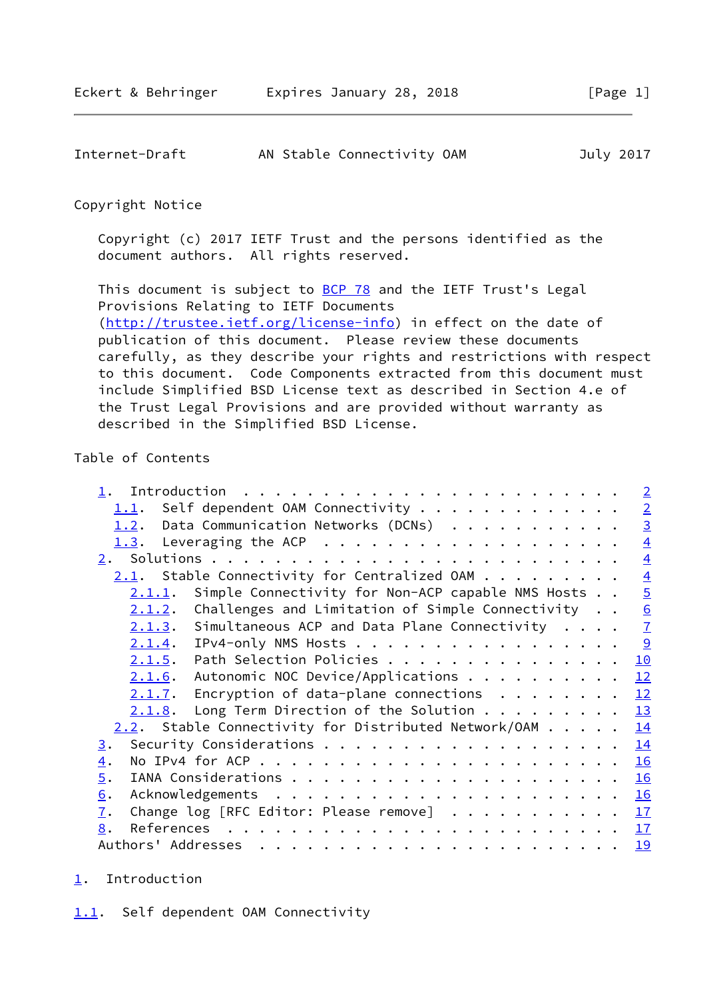<span id="page-1-1"></span>

| Internet-Draft | AN Stable Connectivity OAM | July 2017 |
|----------------|----------------------------|-----------|
|                |                            |           |

Copyright Notice

 Copyright (c) 2017 IETF Trust and the persons identified as the document authors. All rights reserved.

This document is subject to **[BCP 78](https://datatracker.ietf.org/doc/pdf/bcp78)** and the IETF Trust's Legal Provisions Relating to IETF Documents [\(http://trustee.ietf.org/license-info](http://trustee.ietf.org/license-info)) in effect on the date of publication of this document. Please review these documents carefully, as they describe your rights and restrictions with respect to this document. Code Components extracted from this document must include Simplified BSD License text as described in Section 4.e of the Trust Legal Provisions and are provided without warranty as described in the Simplified BSD License.

# Table of Contents

| Self dependent OAM Connectivity<br><u>1.1</u> .<br>Data Communication Networks (DCNs)<br>1.2. | $\overline{2}$<br>$\overline{3}$ |
|-----------------------------------------------------------------------------------------------|----------------------------------|
|                                                                                               |                                  |
|                                                                                               |                                  |
| 1.3.                                                                                          | $\overline{4}$                   |
| 2.                                                                                            | $\overline{4}$                   |
| Stable Connectivity for Centralized OAM<br>2.1.                                               | $\overline{4}$                   |
| Simple Connectivity for Non-ACP capable NMS Hosts<br>2.1.1.                                   | $\overline{5}$                   |
| Challenges and Limitation of Simple Connectivity<br>2.1.2.                                    | $\overline{6}$                   |
| Simultaneous ACP and Data Plane Connectivity<br>2.1.3.                                        | $\overline{1}$                   |
| IPv4-only NMS Hosts<br>2.1.4.                                                                 | 9                                |
| Path Selection Policies<br>2.1.5.                                                             | 10                               |
| Autonomic NOC Device/Applications<br>2.1.6.                                                   | 12                               |
| Encryption of data-plane connections $\ldots$<br>2.1.7.                                       | 12                               |
| Long Term Direction of the Solution $\cdots$<br>2.1.8.                                        | 13                               |
| $2.2$ . Stable Connectivity for Distributed Network/OAM                                       | 14                               |
| $\underline{3}$ .                                                                             | 14                               |
| $\overline{4}$ .                                                                              | 16                               |
| $\overline{5}$ .                                                                              | 16                               |
| 6.                                                                                            | 16                               |
| Change log [RFC Editor: Please remove]<br>$\overline{1}$ .                                    | 17                               |
| References<br>8.                                                                              | 17                               |
| Authors' Addresses                                                                            | <u>19</u>                        |

# <span id="page-1-2"></span><span id="page-1-0"></span>[1](#page-1-0). Introduction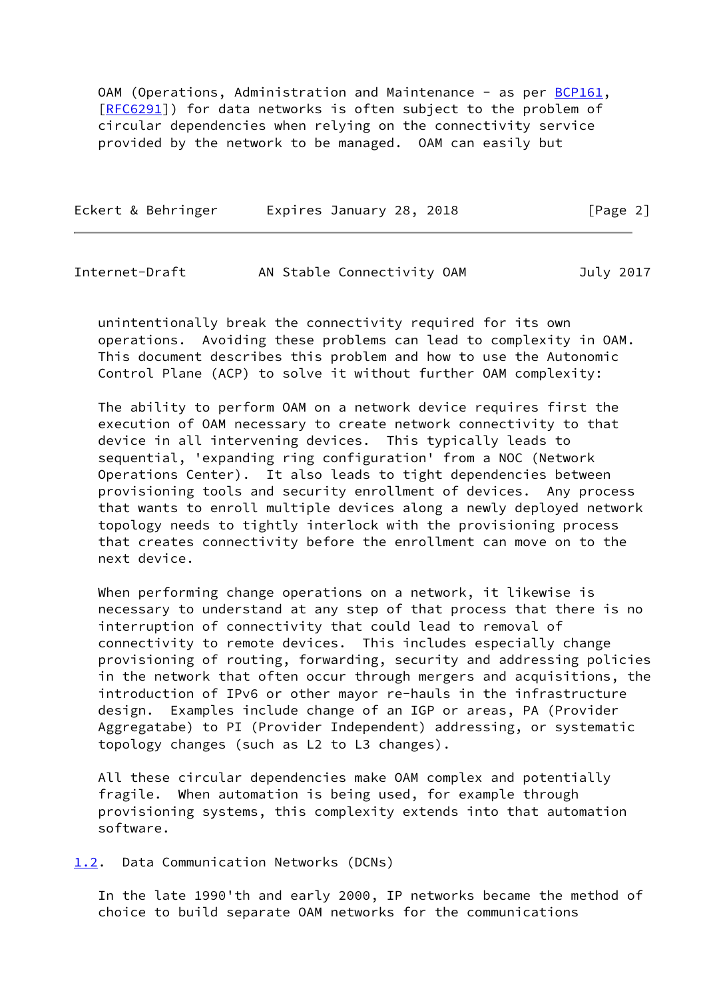OAM (Operations, Administration and Maintenance - as per [BCP161](https://datatracker.ietf.org/doc/pdf/bcp161), [\[RFC6291](https://datatracker.ietf.org/doc/pdf/rfc6291)]) for data networks is often subject to the problem of circular dependencies when relying on the connectivity service provided by the network to be managed. OAM can easily but

| Eckert & Behringer | Expires January 28, 2018 | [Page 2] |  |
|--------------------|--------------------------|----------|--|
|                    |                          |          |  |

<span id="page-2-1"></span>Internet-Draft AN Stable Connectivity OAM July 2017

 unintentionally break the connectivity required for its own operations. Avoiding these problems can lead to complexity in OAM. This document describes this problem and how to use the Autonomic Control Plane (ACP) to solve it without further OAM complexity:

 The ability to perform OAM on a network device requires first the execution of OAM necessary to create network connectivity to that device in all intervening devices. This typically leads to sequential, 'expanding ring configuration' from a NOC (Network Operations Center). It also leads to tight dependencies between provisioning tools and security enrollment of devices. Any process that wants to enroll multiple devices along a newly deployed network topology needs to tightly interlock with the provisioning process that creates connectivity before the enrollment can move on to the next device.

 When performing change operations on a network, it likewise is necessary to understand at any step of that process that there is no interruption of connectivity that could lead to removal of connectivity to remote devices. This includes especially change provisioning of routing, forwarding, security and addressing policies in the network that often occur through mergers and acquisitions, the introduction of IPv6 or other mayor re-hauls in the infrastructure design. Examples include change of an IGP or areas, PA (Provider Aggregatabe) to PI (Provider Independent) addressing, or systematic topology changes (such as L2 to L3 changes).

 All these circular dependencies make OAM complex and potentially fragile. When automation is being used, for example through provisioning systems, this complexity extends into that automation software.

<span id="page-2-0"></span>[1.2](#page-2-0). Data Communication Networks (DCNs)

 In the late 1990'th and early 2000, IP networks became the method of choice to build separate OAM networks for the communications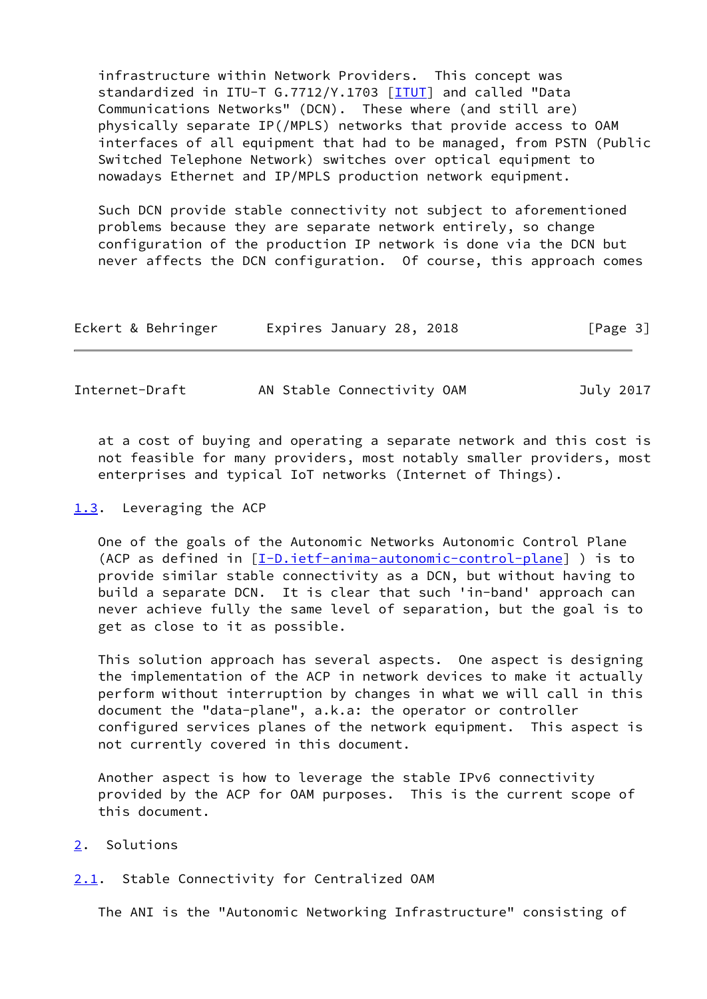infrastructure within Network Providers. This concept was standardized in ITU-T G.7712/Y.1703 [\[ITUT](#page-19-0)] and called "Data Communications Networks" (DCN). These where (and still are) physically separate IP(/MPLS) networks that provide access to OAM interfaces of all equipment that had to be managed, from PSTN (Public Switched Telephone Network) switches over optical equipment to nowadays Ethernet and IP/MPLS production network equipment.

 Such DCN provide stable connectivity not subject to aforementioned problems because they are separate network entirely, so change configuration of the production IP network is done via the DCN but never affects the DCN configuration. Of course, this approach comes

| Eckert & Behringer | Expires January 28, 2018 | [Page 3] |
|--------------------|--------------------------|----------|
|                    |                          |          |

<span id="page-3-1"></span>

| Internet-Draft |  | AN Stable Connectivity OAM |  |  | July 2017 |
|----------------|--|----------------------------|--|--|-----------|
|----------------|--|----------------------------|--|--|-----------|

 at a cost of buying and operating a separate network and this cost is not feasible for many providers, most notably smaller providers, most enterprises and typical IoT networks (Internet of Things).

<span id="page-3-0"></span>[1.3](#page-3-0). Leveraging the ACP

 One of the goals of the Autonomic Networks Autonomic Control Plane (ACP as defined in [[I-D.ietf-anima-autonomic-control-plane](#page-18-3)] ) is to provide similar stable connectivity as a DCN, but without having to build a separate DCN. It is clear that such 'in-band' approach can never achieve fully the same level of separation, but the goal is to get as close to it as possible.

 This solution approach has several aspects. One aspect is designing the implementation of the ACP in network devices to make it actually perform without interruption by changes in what we will call in this document the "data-plane", a.k.a: the operator or controller configured services planes of the network equipment. This aspect is not currently covered in this document.

 Another aspect is how to leverage the stable IPv6 connectivity provided by the ACP for OAM purposes. This is the current scope of this document.

- <span id="page-3-2"></span>[2](#page-3-2). Solutions
- <span id="page-3-3"></span>[2.1](#page-3-3). Stable Connectivity for Centralized OAM

The ANI is the "Autonomic Networking Infrastructure" consisting of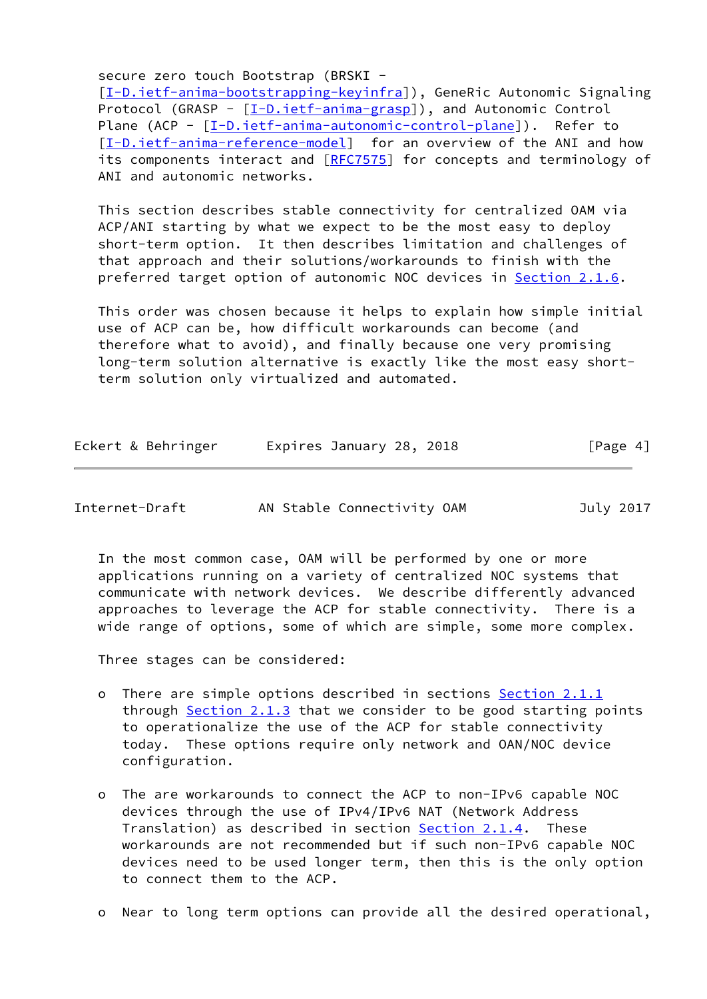secure zero touch Bootstrap (BRSKI -

[\[I-D.ietf-anima-bootstrapping-keyinfra](#page-18-4)]), GeneRic Autonomic Signaling Protocol (GRASP - [[I-D.ietf-anima-grasp\]](#page-18-5)), and Autonomic Control Plane (ACP - [\[I-D.ietf-anima-autonomic-control-plane](#page-18-3)]). Refer to [\[I-D.ietf-anima-reference-model](#page-19-1)] for an overview of the ANI and how its components interact and [\[RFC7575](https://datatracker.ietf.org/doc/pdf/rfc7575)] for concepts and terminology of ANI and autonomic networks.

 This section describes stable connectivity for centralized OAM via ACP/ANI starting by what we expect to be the most easy to deploy short-term option. It then describes limitation and challenges of that approach and their solutions/workarounds to finish with the preferred target option of autonomic NOC devices in [Section 2.1.6.](#page-12-0)

 This order was chosen because it helps to explain how simple initial use of ACP can be, how difficult workarounds can become (and therefore what to avoid), and finally because one very promising long-term solution alternative is exactly like the most easy short term solution only virtualized and automated.

| Eckert & Behringer | Expires January 28, 2018 | [Page 4] |
|--------------------|--------------------------|----------|
|--------------------|--------------------------|----------|

<span id="page-4-0"></span>

| Internet-Draft |
|----------------|
|----------------|

AN Stable Connectivity OAM July 2017

 In the most common case, OAM will be performed by one or more applications running on a variety of centralized NOC systems that communicate with network devices. We describe differently advanced approaches to leverage the ACP for stable connectivity. There is a wide range of options, some of which are simple, some more complex.

Three stages can be considered:

- o There are simple options described in sections [Section 2.1.1](#page-5-0) through  $Section 2.1.3$  that we consider to be good starting points to operationalize the use of the ACP for stable connectivity today. These options require only network and OAN/NOC device configuration.
- o The are workarounds to connect the ACP to non-IPv6 capable NOC devices through the use of IPv4/IPv6 NAT (Network Address Translation) as described in section [Section 2.1.4](#page-9-0). These workarounds are not recommended but if such non-IPv6 capable NOC devices need to be used longer term, then this is the only option to connect them to the ACP.
- o Near to long term options can provide all the desired operational,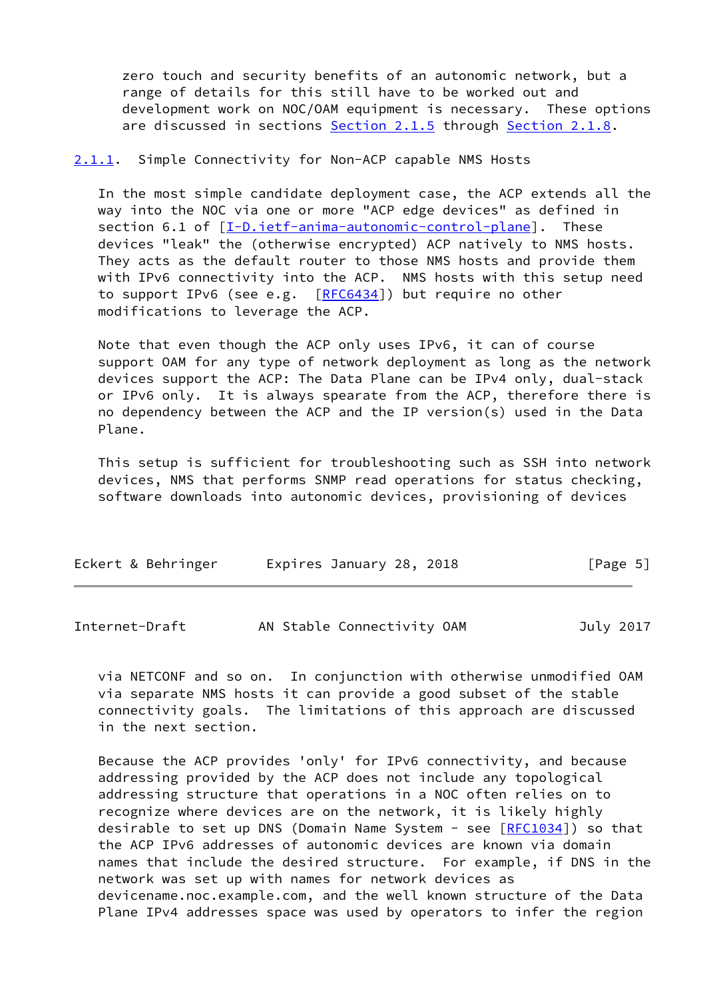zero touch and security benefits of an autonomic network, but a range of details for this still have to be worked out and development work on NOC/OAM equipment is necessary. These options are discussed in sections [Section 2.1.5](#page-10-0) through [Section 2.1.8.](#page-14-0)

<span id="page-5-0"></span>[2.1.1](#page-5-0). Simple Connectivity for Non-ACP capable NMS Hosts

 In the most simple candidate deployment case, the ACP extends all the way into the NOC via one or more "ACP edge devices" as defined in section 6.1 of  $[I-D.ietf-anima-autonomic-control-plane]$  $[I-D.ietf-anima-autonomic-control-plane]$ . These devices "leak" the (otherwise encrypted) ACP natively to NMS hosts. They acts as the default router to those NMS hosts and provide them with IPv6 connectivity into the ACP. NMS hosts with this setup need to support IPv6 (see e.g. [[RFC6434\]](https://datatracker.ietf.org/doc/pdf/rfc6434)) but require no other modifications to leverage the ACP.

 Note that even though the ACP only uses IPv6, it can of course support OAM for any type of network deployment as long as the network devices support the ACP: The Data Plane can be IPv4 only, dual-stack or IPv6 only. It is always spearate from the ACP, therefore there is no dependency between the ACP and the IP version(s) used in the Data Plane.

 This setup is sufficient for troubleshooting such as SSH into network devices, NMS that performs SNMP read operations for status checking, software downloads into autonomic devices, provisioning of devices

| Eckert & Behringer | Expires January 28, 2018 | [Page 5] |
|--------------------|--------------------------|----------|
|                    |                          |          |

<span id="page-5-1"></span>Internet-Draft AN Stable Connectivity OAM July 2017

 via NETCONF and so on. In conjunction with otherwise unmodified OAM via separate NMS hosts it can provide a good subset of the stable connectivity goals. The limitations of this approach are discussed in the next section.

 Because the ACP provides 'only' for IPv6 connectivity, and because addressing provided by the ACP does not include any topological addressing structure that operations in a NOC often relies on to recognize where devices are on the network, it is likely highly desirable to set up DNS (Domain Name System - see [[RFC1034](https://datatracker.ietf.org/doc/pdf/rfc1034)]) so that the ACP IPv6 addresses of autonomic devices are known via domain names that include the desired structure. For example, if DNS in the network was set up with names for network devices as devicename.noc.example.com, and the well known structure of the Data Plane IPv4 addresses space was used by operators to infer the region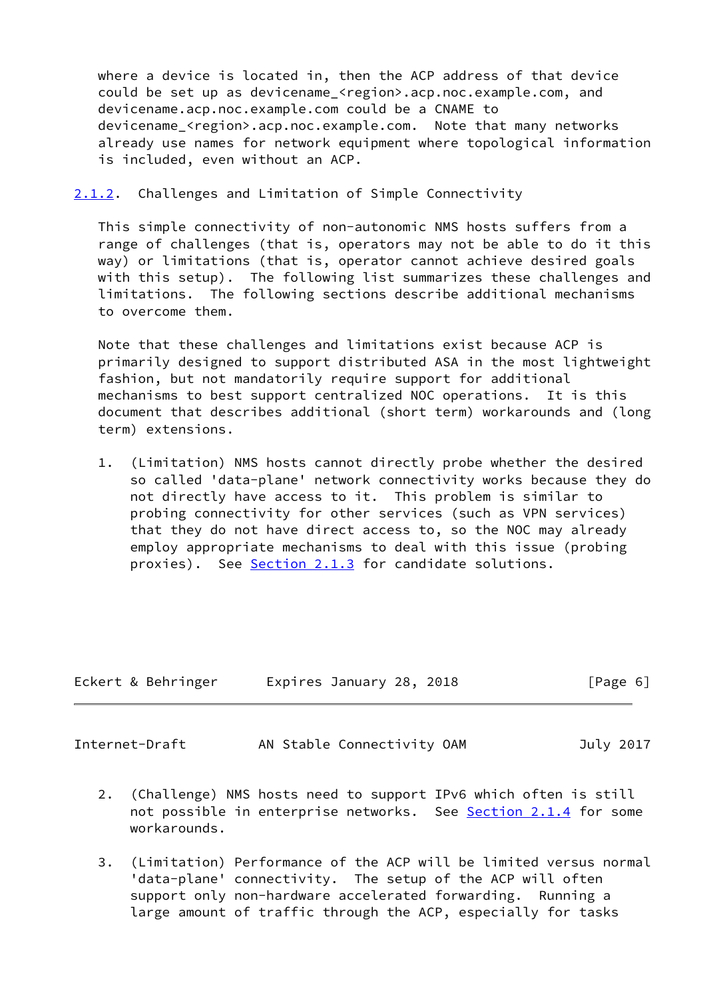where a device is located in, then the ACP address of that device could be set up as devicename\_<region>.acp.noc.example.com, and devicename.acp.noc.example.com could be a CNAME to devicename <region>.acp.noc.example.com. Note that many networks already use names for network equipment where topological information is included, even without an ACP.

<span id="page-6-0"></span>[2.1.2](#page-6-0). Challenges and Limitation of Simple Connectivity

 This simple connectivity of non-autonomic NMS hosts suffers from a range of challenges (that is, operators may not be able to do it this way) or limitations (that is, operator cannot achieve desired goals with this setup). The following list summarizes these challenges and limitations. The following sections describe additional mechanisms to overcome them.

 Note that these challenges and limitations exist because ACP is primarily designed to support distributed ASA in the most lightweight fashion, but not mandatorily require support for additional mechanisms to best support centralized NOC operations. It is this document that describes additional (short term) workarounds and (long term) extensions.

 1. (Limitation) NMS hosts cannot directly probe whether the desired so called 'data-plane' network connectivity works because they do not directly have access to it. This problem is similar to probing connectivity for other services (such as VPN services) that they do not have direct access to, so the NOC may already employ appropriate mechanisms to deal with this issue (probing proxies). See [Section 2.1.3](#page-7-0) for candidate solutions.

| Eckert & Behringer | Expires January 28, 2018 | [Page 6] |
|--------------------|--------------------------|----------|
|                    |                          |          |

<span id="page-6-1"></span>Internet-Draft AN Stable Connectivity OAM July 2017

- 2. (Challenge) NMS hosts need to support IPv6 which often is still not possible in enterprise networks. See [Section 2.1.4](#page-9-0) for some workarounds.
- 3. (Limitation) Performance of the ACP will be limited versus normal 'data-plane' connectivity. The setup of the ACP will often support only non-hardware accelerated forwarding. Running a large amount of traffic through the ACP, especially for tasks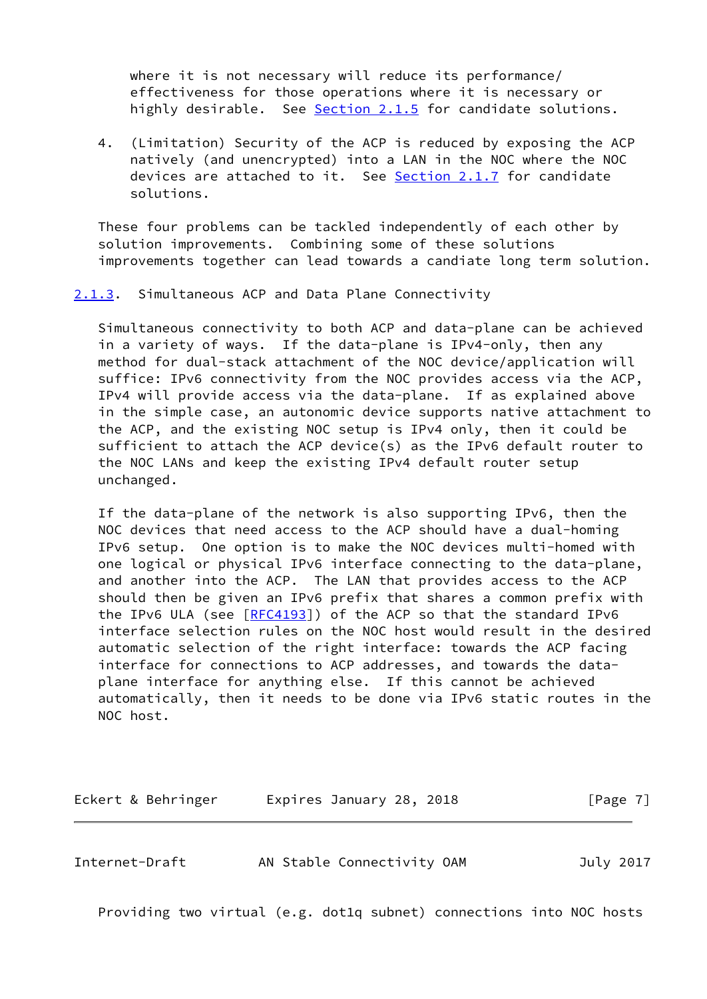where it is not necessary will reduce its performance/ effectiveness for those operations where it is necessary or highly desirable. See [Section 2.1.5](#page-10-0) for candidate solutions.

 4. (Limitation) Security of the ACP is reduced by exposing the ACP natively (and unencrypted) into a LAN in the NOC where the NOC devices are attached to it. See [Section 2.1.7](#page-13-0) for candidate solutions.

 These four problems can be tackled independently of each other by solution improvements. Combining some of these solutions improvements together can lead towards a candiate long term solution.

<span id="page-7-0"></span>[2.1.3](#page-7-0). Simultaneous ACP and Data Plane Connectivity

 Simultaneous connectivity to both ACP and data-plane can be achieved in a variety of ways. If the data-plane is IPv4-only, then any method for dual-stack attachment of the NOC device/application will suffice: IPv6 connectivity from the NOC provides access via the ACP, IPv4 will provide access via the data-plane. If as explained above in the simple case, an autonomic device supports native attachment to the ACP, and the existing NOC setup is IPv4 only, then it could be sufficient to attach the ACP device(s) as the IPv6 default router to the NOC LANs and keep the existing IPv4 default router setup unchanged.

 If the data-plane of the network is also supporting IPv6, then the NOC devices that need access to the ACP should have a dual-homing IPv6 setup. One option is to make the NOC devices multi-homed with one logical or physical IPv6 interface connecting to the data-plane, and another into the ACP. The LAN that provides access to the ACP should then be given an IPv6 prefix that shares a common prefix with the IPv6 ULA (see [[RFC4193](https://datatracker.ietf.org/doc/pdf/rfc4193)]) of the ACP so that the standard IPv6 interface selection rules on the NOC host would result in the desired automatic selection of the right interface: towards the ACP facing interface for connections to ACP addresses, and towards the data plane interface for anything else. If this cannot be achieved automatically, then it needs to be done via IPv6 static routes in the NOC host.

| Eckert & Behringer | Expires January 28, 2018 |  | [Page 7] |
|--------------------|--------------------------|--|----------|
|--------------------|--------------------------|--|----------|

Internet-Draft AN Stable Connectivity OAM July 2017

Providing two virtual (e.g. dot1q subnet) connections into NOC hosts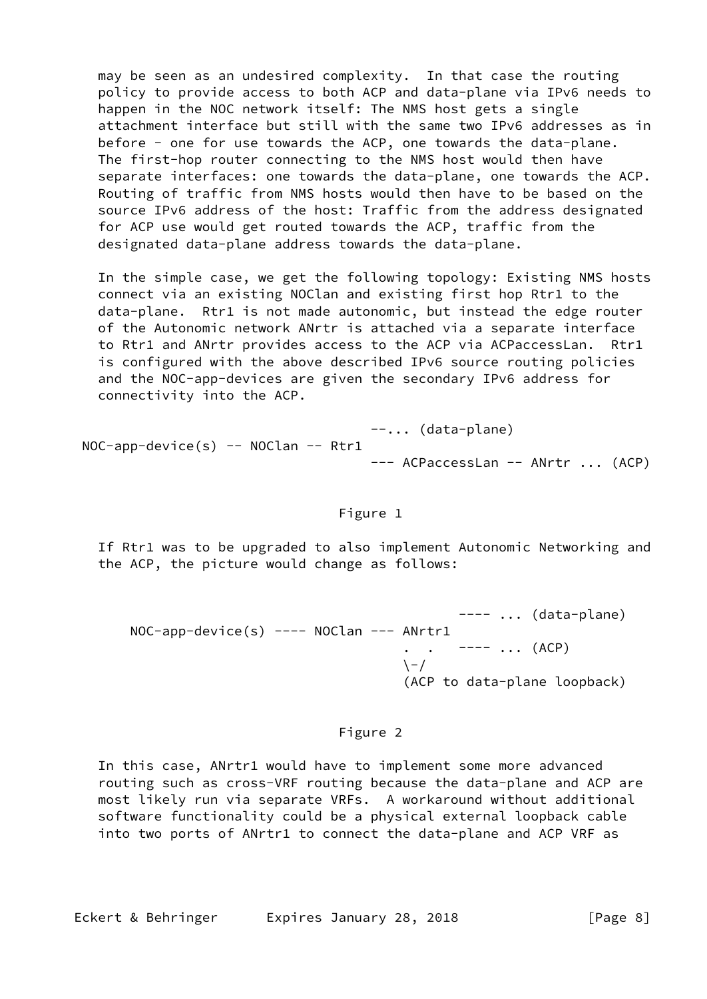may be seen as an undesired complexity. In that case the routing policy to provide access to both ACP and data-plane via IPv6 needs to happen in the NOC network itself: The NMS host gets a single attachment interface but still with the same two IPv6 addresses as in before - one for use towards the ACP, one towards the data-plane. The first-hop router connecting to the NMS host would then have separate interfaces: one towards the data-plane, one towards the ACP. Routing of traffic from NMS hosts would then have to be based on the source IPv6 address of the host: Traffic from the address designated for ACP use would get routed towards the ACP, traffic from the designated data-plane address towards the data-plane.

 In the simple case, we get the following topology: Existing NMS hosts connect via an existing NOClan and existing first hop Rtr1 to the data-plane. Rtr1 is not made autonomic, but instead the edge router of the Autonomic network ANrtr is attached via a separate interface to Rtr1 and ANrtr provides access to the ACP via ACPaccessLan. Rtr1 is configured with the above described IPv6 source routing policies and the NOC-app-devices are given the secondary IPv6 address for connectivity into the ACP.

 --... (data-plane) NOC-app-device(s) -- NOClan -- Rtr1 --- ACPaccessLan -- ANrtr ... (ACP)

## Figure 1

 If Rtr1 was to be upgraded to also implement Autonomic Networking and the ACP, the picture would change as follows:

 $-- \ldots$  (data-plane) NOC-app-device(s) ---- NOClan --- ANrtr1  $--- -$  ... (ACP)  $\setminus$  - / (ACP to data-plane loopback)

### Figure 2

 In this case, ANrtr1 would have to implement some more advanced routing such as cross-VRF routing because the data-plane and ACP are most likely run via separate VRFs. A workaround without additional software functionality could be a physical external loopback cable into two ports of ANrtr1 to connect the data-plane and ACP VRF as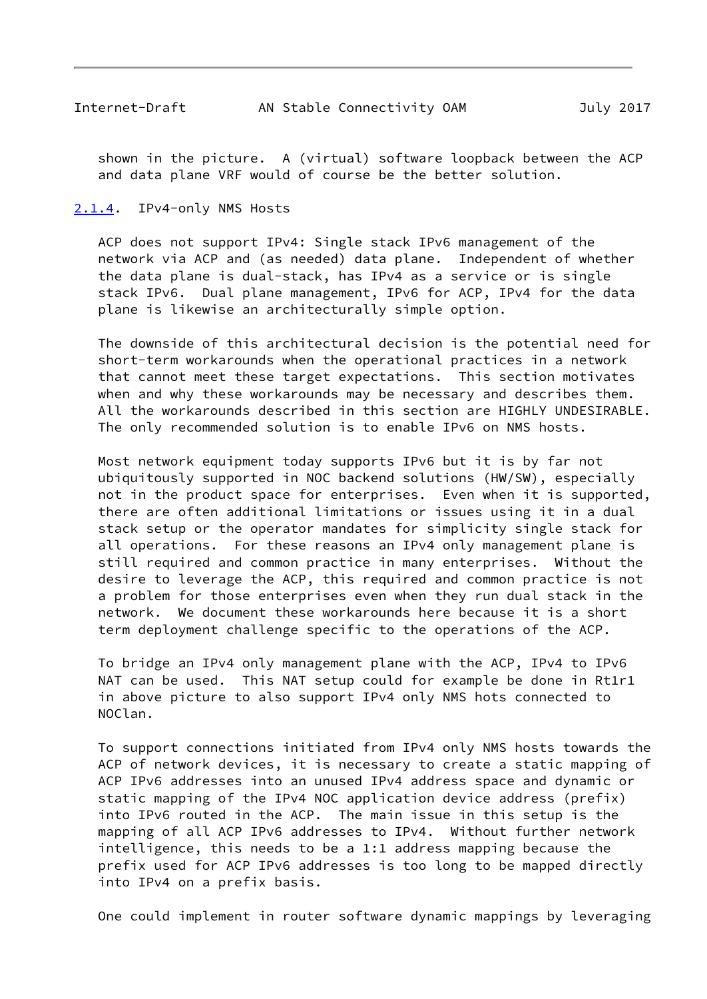<span id="page-9-1"></span> shown in the picture. A (virtual) software loopback between the ACP and data plane VRF would of course be the better solution.

### <span id="page-9-0"></span>[2.1.4](#page-9-0). IPv4-only NMS Hosts

 ACP does not support IPv4: Single stack IPv6 management of the network via ACP and (as needed) data plane. Independent of whether the data plane is dual-stack, has IPv4 as a service or is single stack IPv6. Dual plane management, IPv6 for ACP, IPv4 for the data plane is likewise an architecturally simple option.

 The downside of this architectural decision is the potential need for short-term workarounds when the operational practices in a network that cannot meet these target expectations. This section motivates when and why these workarounds may be necessary and describes them. All the workarounds described in this section are HIGHLY UNDESIRABLE. The only recommended solution is to enable IPv6 on NMS hosts.

 Most network equipment today supports IPv6 but it is by far not ubiquitously supported in NOC backend solutions (HW/SW), especially not in the product space for enterprises. Even when it is supported, there are often additional limitations or issues using it in a dual stack setup or the operator mandates for simplicity single stack for all operations. For these reasons an IPv4 only management plane is still required and common practice in many enterprises. Without the desire to leverage the ACP, this required and common practice is not a problem for those enterprises even when they run dual stack in the network. We document these workarounds here because it is a short term deployment challenge specific to the operations of the ACP.

 To bridge an IPv4 only management plane with the ACP, IPv4 to IPv6 NAT can be used. This NAT setup could for example be done in Rt1r1 in above picture to also support IPv4 only NMS hots connected to NOClan.

 To support connections initiated from IPv4 only NMS hosts towards the ACP of network devices, it is necessary to create a static mapping of ACP IPv6 addresses into an unused IPv4 address space and dynamic or static mapping of the IPv4 NOC application device address (prefix) into IPv6 routed in the ACP. The main issue in this setup is the mapping of all ACP IPv6 addresses to IPv4. Without further network intelligence, this needs to be a 1:1 address mapping because the prefix used for ACP IPv6 addresses is too long to be mapped directly into IPv4 on a prefix basis.

One could implement in router software dynamic mappings by leveraging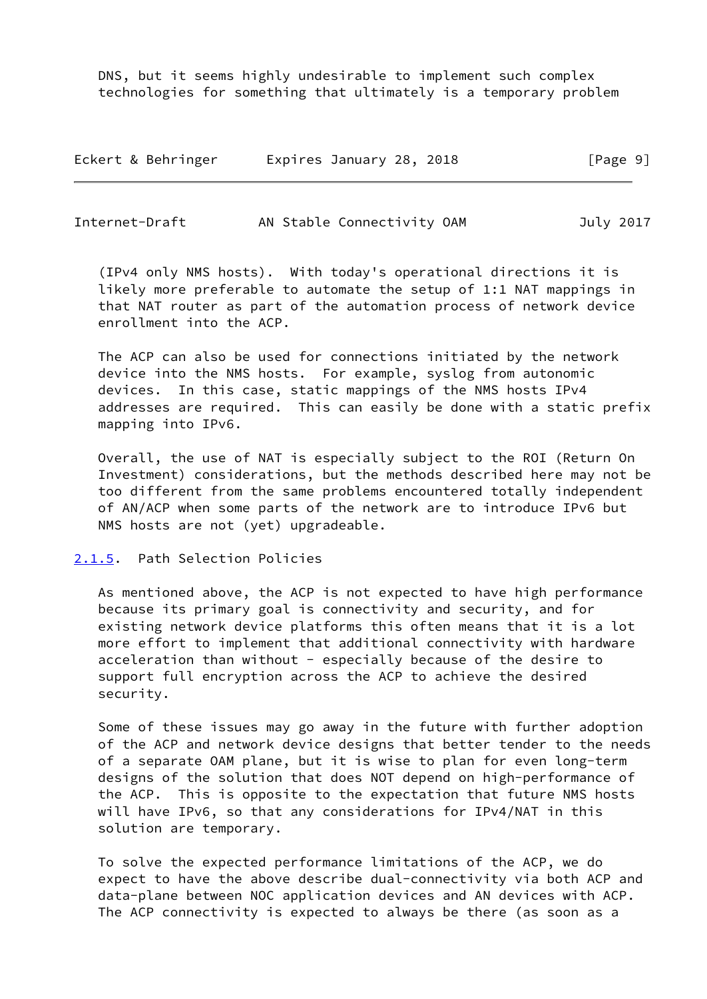DNS, but it seems highly undesirable to implement such complex technologies for something that ultimately is a temporary problem

| Eckert & Behringer | Expires January 28, 2018 | [Page 9] |
|--------------------|--------------------------|----------|
|--------------------|--------------------------|----------|

<span id="page-10-1"></span>

| Internet-Draft | AN Stable Connectivity OAM | July 2017 |
|----------------|----------------------------|-----------|
|----------------|----------------------------|-----------|

 (IPv4 only NMS hosts). With today's operational directions it is likely more preferable to automate the setup of 1:1 NAT mappings in that NAT router as part of the automation process of network device enrollment into the ACP.

 The ACP can also be used for connections initiated by the network device into the NMS hosts. For example, syslog from autonomic devices. In this case, static mappings of the NMS hosts IPv4 addresses are required. This can easily be done with a static prefix mapping into IPv6.

 Overall, the use of NAT is especially subject to the ROI (Return On Investment) considerations, but the methods described here may not be too different from the same problems encountered totally independent of AN/ACP when some parts of the network are to introduce IPv6 but NMS hosts are not (yet) upgradeable.

## <span id="page-10-0"></span>[2.1.5](#page-10-0). Path Selection Policies

 As mentioned above, the ACP is not expected to have high performance because its primary goal is connectivity and security, and for existing network device platforms this often means that it is a lot more effort to implement that additional connectivity with hardware acceleration than without - especially because of the desire to support full encryption across the ACP to achieve the desired security.

 Some of these issues may go away in the future with further adoption of the ACP and network device designs that better tender to the needs of a separate OAM plane, but it is wise to plan for even long-term designs of the solution that does NOT depend on high-performance of the ACP. This is opposite to the expectation that future NMS hosts will have IPv6, so that any considerations for IPv4/NAT in this solution are temporary.

 To solve the expected performance limitations of the ACP, we do expect to have the above describe dual-connectivity via both ACP and data-plane between NOC application devices and AN devices with ACP. The ACP connectivity is expected to always be there (as soon as a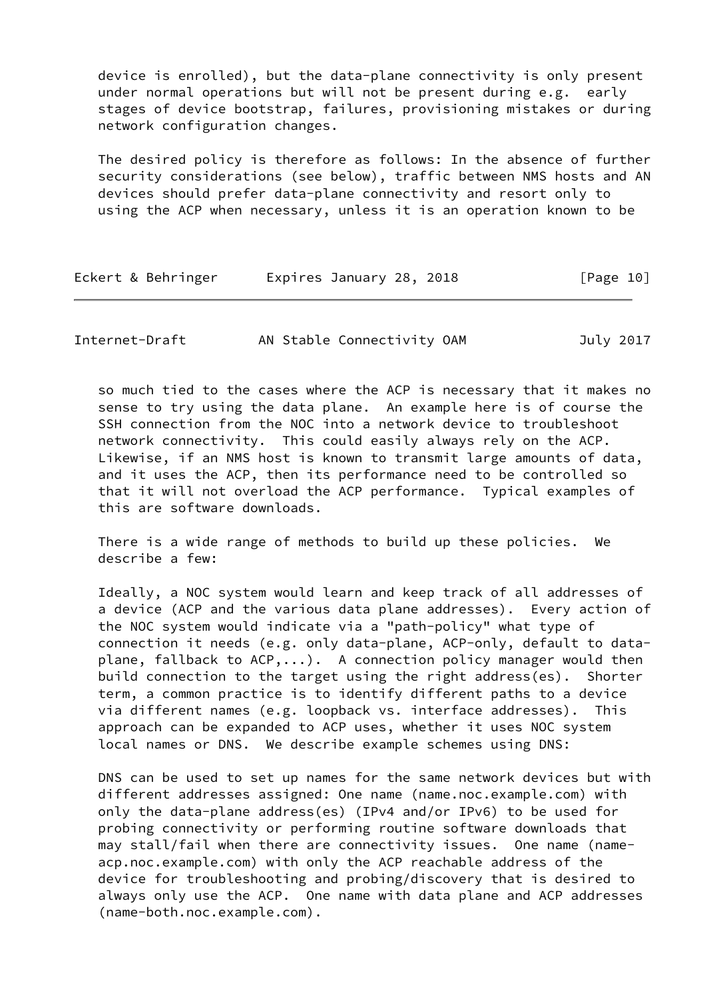device is enrolled), but the data-plane connectivity is only present under normal operations but will not be present during e.g. early stages of device bootstrap, failures, provisioning mistakes or during network configuration changes.

 The desired policy is therefore as follows: In the absence of further security considerations (see below), traffic between NMS hosts and AN devices should prefer data-plane connectivity and resort only to using the ACP when necessary, unless it is an operation known to be

| Eckert & Behringer | Expires January 28, 2018 | [Page 10] |
|--------------------|--------------------------|-----------|
|--------------------|--------------------------|-----------|

Internet-Draft AN Stable Connectivity OAM July 2017

 so much tied to the cases where the ACP is necessary that it makes no sense to try using the data plane. An example here is of course the SSH connection from the NOC into a network device to troubleshoot network connectivity. This could easily always rely on the ACP. Likewise, if an NMS host is known to transmit large amounts of data, and it uses the ACP, then its performance need to be controlled so that it will not overload the ACP performance. Typical examples of this are software downloads.

 There is a wide range of methods to build up these policies. We describe a few:

 Ideally, a NOC system would learn and keep track of all addresses of a device (ACP and the various data plane addresses). Every action of the NOC system would indicate via a "path-policy" what type of connection it needs (e.g. only data-plane, ACP-only, default to data plane, fallback to  $ACP$ ,...). A connection policy manager would then build connection to the target using the right address(es). Shorter term, a common practice is to identify different paths to a device via different names (e.g. loopback vs. interface addresses). This approach can be expanded to ACP uses, whether it uses NOC system local names or DNS. We describe example schemes using DNS:

 DNS can be used to set up names for the same network devices but with different addresses assigned: One name (name.noc.example.com) with only the data-plane address(es) (IPv4 and/or IPv6) to be used for probing connectivity or performing routine software downloads that may stall/fail when there are connectivity issues. One name (name acp.noc.example.com) with only the ACP reachable address of the device for troubleshooting and probing/discovery that is desired to always only use the ACP. One name with data plane and ACP addresses (name-both.noc.example.com).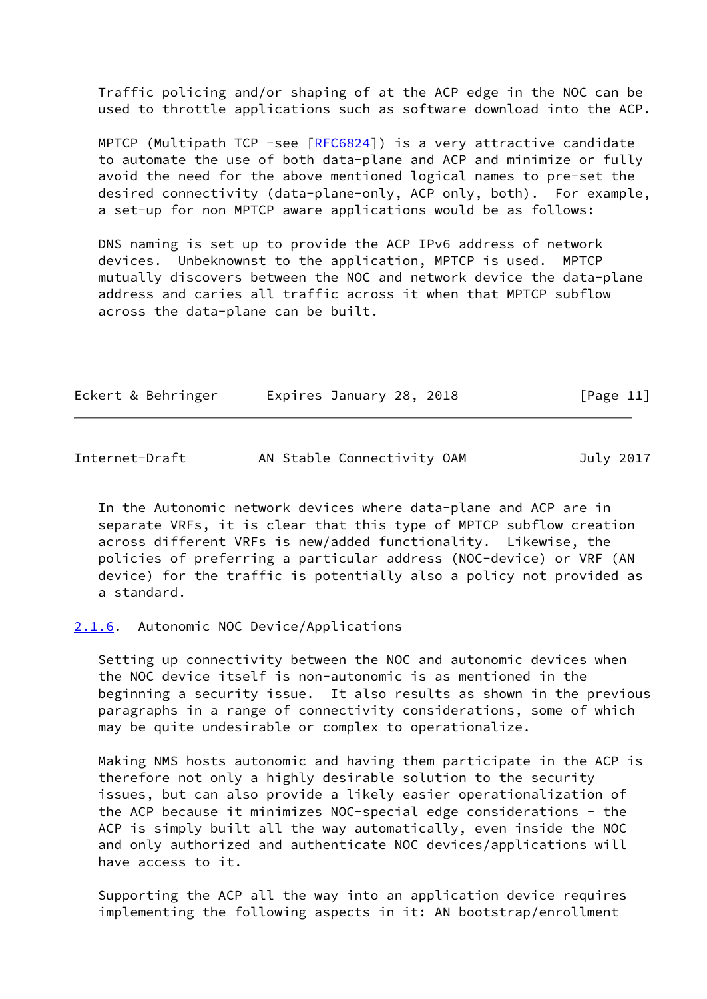Traffic policing and/or shaping of at the ACP edge in the NOC can be used to throttle applications such as software download into the ACP.

MPTCP (Multipath TCP -see  $[REG824]$ ) is a very attractive candidate to automate the use of both data-plane and ACP and minimize or fully avoid the need for the above mentioned logical names to pre-set the desired connectivity (data-plane-only, ACP only, both). For example, a set-up for non MPTCP aware applications would be as follows:

 DNS naming is set up to provide the ACP IPv6 address of network devices. Unbeknownst to the application, MPTCP is used. MPTCP mutually discovers between the NOC and network device the data-plane address and caries all traffic across it when that MPTCP subflow across the data-plane can be built.

| Eckert & Behringer |  |  | Expires January 28, 2018 |  |  | [Page 11] |  |
|--------------------|--|--|--------------------------|--|--|-----------|--|
|--------------------|--|--|--------------------------|--|--|-----------|--|

<span id="page-12-1"></span>

|  | Internet-Draft | AN Stable Connectivity OAM | July 2017 |
|--|----------------|----------------------------|-----------|
|--|----------------|----------------------------|-----------|

 In the Autonomic network devices where data-plane and ACP are in separate VRFs, it is clear that this type of MPTCP subflow creation across different VRFs is new/added functionality. Likewise, the policies of preferring a particular address (NOC-device) or VRF (AN device) for the traffic is potentially also a policy not provided as a standard.

### <span id="page-12-0"></span>[2.1.6](#page-12-0). Autonomic NOC Device/Applications

 Setting up connectivity between the NOC and autonomic devices when the NOC device itself is non-autonomic is as mentioned in the beginning a security issue. It also results as shown in the previous paragraphs in a range of connectivity considerations, some of which may be quite undesirable or complex to operationalize.

 Making NMS hosts autonomic and having them participate in the ACP is therefore not only a highly desirable solution to the security issues, but can also provide a likely easier operationalization of the ACP because it minimizes NOC-special edge considerations - the ACP is simply built all the way automatically, even inside the NOC and only authorized and authenticate NOC devices/applications will have access to it.

 Supporting the ACP all the way into an application device requires implementing the following aspects in it: AN bootstrap/enrollment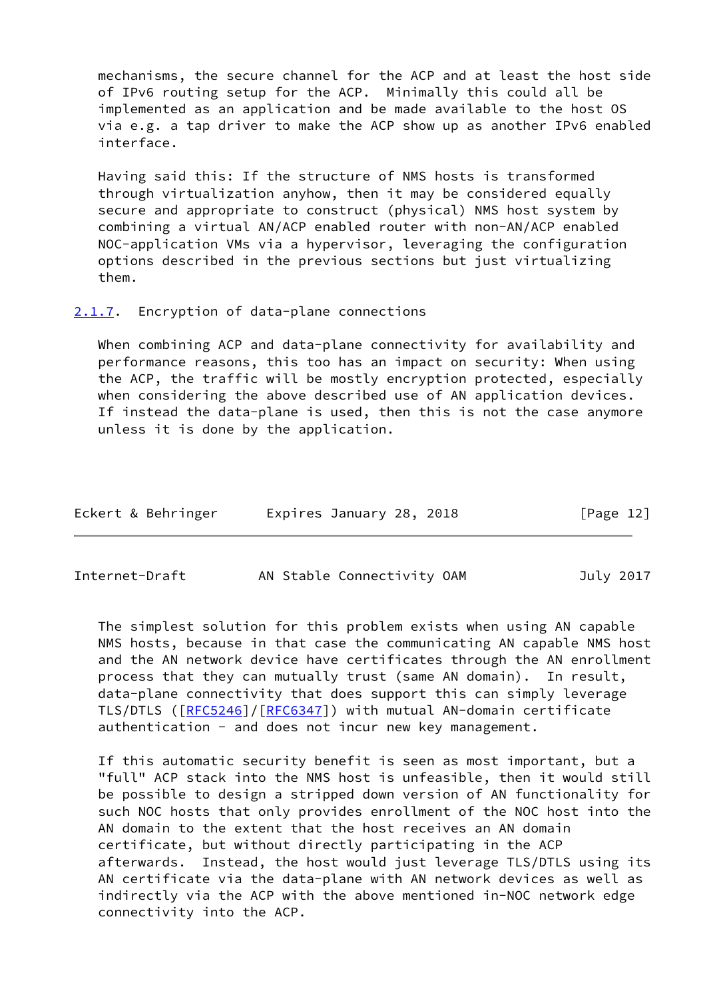mechanisms, the secure channel for the ACP and at least the host side of IPv6 routing setup for the ACP. Minimally this could all be implemented as an application and be made available to the host OS via e.g. a tap driver to make the ACP show up as another IPv6 enabled interface.

 Having said this: If the structure of NMS hosts is transformed through virtualization anyhow, then it may be considered equally secure and appropriate to construct (physical) NMS host system by combining a virtual AN/ACP enabled router with non-AN/ACP enabled NOC-application VMs via a hypervisor, leveraging the configuration options described in the previous sections but just virtualizing them.

<span id="page-13-0"></span>[2.1.7](#page-13-0). Encryption of data-plane connections

When combining ACP and data-plane connectivity for availability and performance reasons, this too has an impact on security: When using the ACP, the traffic will be mostly encryption protected, especially when considering the above described use of AN application devices. If instead the data-plane is used, then this is not the case anymore unless it is done by the application.

| Eckert & Behringer | Expires January 28, 2018 | [Page 12] |
|--------------------|--------------------------|-----------|
|--------------------|--------------------------|-----------|

<span id="page-13-1"></span>Internet-Draft AN Stable Connectivity OAM July 2017

 The simplest solution for this problem exists when using AN capable NMS hosts, because in that case the communicating AN capable NMS host and the AN network device have certificates through the AN enrollment process that they can mutually trust (same AN domain). In result, data-plane connectivity that does support this can simply leverage TLS/DTLS ([[RFC5246](https://datatracker.ietf.org/doc/pdf/rfc5246)]/[\[RFC6347](https://datatracker.ietf.org/doc/pdf/rfc6347)]) with mutual AN-domain certificate authentication - and does not incur new key management.

 If this automatic security benefit is seen as most important, but a "full" ACP stack into the NMS host is unfeasible, then it would still be possible to design a stripped down version of AN functionality for such NOC hosts that only provides enrollment of the NOC host into the AN domain to the extent that the host receives an AN domain certificate, but without directly participating in the ACP afterwards. Instead, the host would just leverage TLS/DTLS using its AN certificate via the data-plane with AN network devices as well as indirectly via the ACP with the above mentioned in-NOC network edge connectivity into the ACP.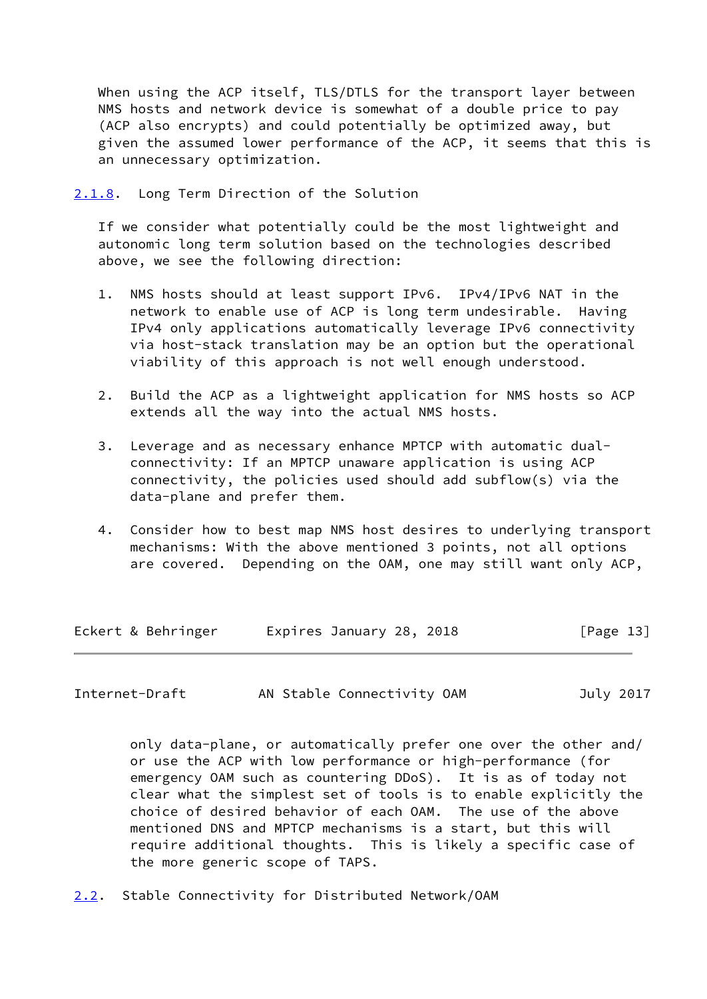When using the ACP itself, TLS/DTLS for the transport layer between NMS hosts and network device is somewhat of a double price to pay (ACP also encrypts) and could potentially be optimized away, but given the assumed lower performance of the ACP, it seems that this is an unnecessary optimization.

<span id="page-14-0"></span>[2.1.8](#page-14-0). Long Term Direction of the Solution

 If we consider what potentially could be the most lightweight and autonomic long term solution based on the technologies described above, we see the following direction:

- 1. NMS hosts should at least support IPv6. IPv4/IPv6 NAT in the network to enable use of ACP is long term undesirable. Having IPv4 only applications automatically leverage IPv6 connectivity via host-stack translation may be an option but the operational viability of this approach is not well enough understood.
- 2. Build the ACP as a lightweight application for NMS hosts so ACP extends all the way into the actual NMS hosts.
- 3. Leverage and as necessary enhance MPTCP with automatic dual connectivity: If an MPTCP unaware application is using ACP connectivity, the policies used should add subflow(s) via the data-plane and prefer them.
- 4. Consider how to best map NMS host desires to underlying transport mechanisms: With the above mentioned 3 points, not all options are covered. Depending on the OAM, one may still want only ACP,

| Eckert & Behringer | Expires January 28, 2018 | [Page 13] |
|--------------------|--------------------------|-----------|
|--------------------|--------------------------|-----------|

<span id="page-14-2"></span>Internet-Draft AN Stable Connectivity OAM July 2017

 only data-plane, or automatically prefer one over the other and/ or use the ACP with low performance or high-performance (for emergency OAM such as countering DDoS). It is as of today not clear what the simplest set of tools is to enable explicitly the choice of desired behavior of each OAM. The use of the above mentioned DNS and MPTCP mechanisms is a start, but this will require additional thoughts. This is likely a specific case of the more generic scope of TAPS.

<span id="page-14-1"></span>[2.2](#page-14-1). Stable Connectivity for Distributed Network/OAM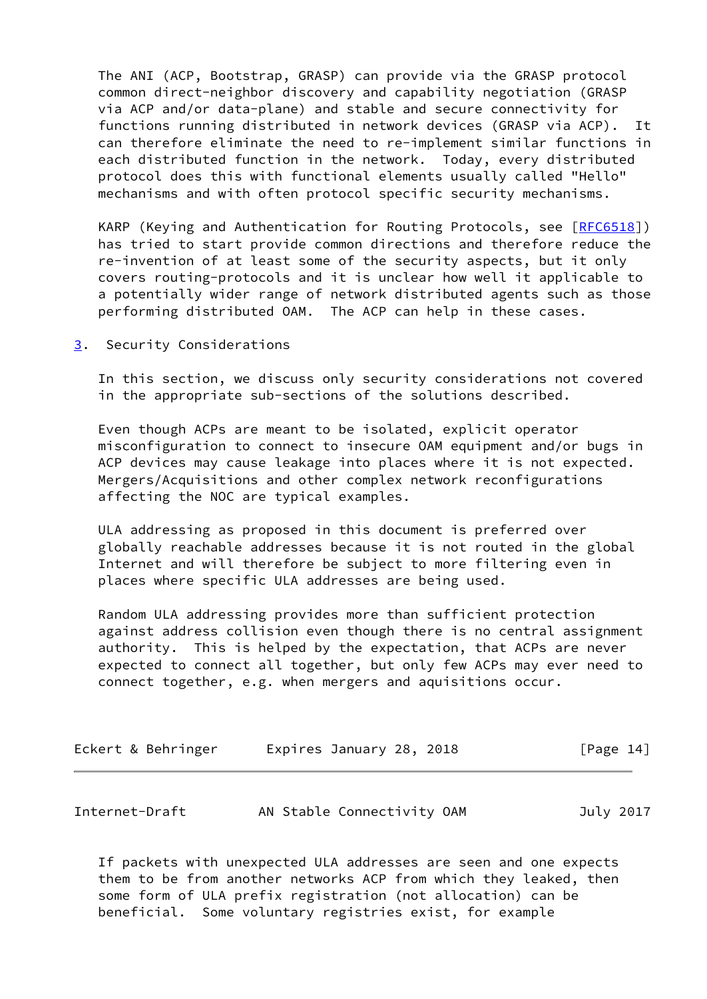The ANI (ACP, Bootstrap, GRASP) can provide via the GRASP protocol common direct-neighbor discovery and capability negotiation (GRASP via ACP and/or data-plane) and stable and secure connectivity for functions running distributed in network devices (GRASP via ACP). It can therefore eliminate the need to re-implement similar functions in each distributed function in the network. Today, every distributed protocol does this with functional elements usually called "Hello" mechanisms and with often protocol specific security mechanisms.

KARP (Keying and Authentication for Routing Protocols, see [[RFC6518\]](https://datatracker.ietf.org/doc/pdf/rfc6518)) has tried to start provide common directions and therefore reduce the re-invention of at least some of the security aspects, but it only covers routing-protocols and it is unclear how well it applicable to a potentially wider range of network distributed agents such as those performing distributed OAM. The ACP can help in these cases.

<span id="page-15-0"></span>[3](#page-15-0). Security Considerations

 In this section, we discuss only security considerations not covered in the appropriate sub-sections of the solutions described.

 Even though ACPs are meant to be isolated, explicit operator misconfiguration to connect to insecure OAM equipment and/or bugs in ACP devices may cause leakage into places where it is not expected. Mergers/Acquisitions and other complex network reconfigurations affecting the NOC are typical examples.

 ULA addressing as proposed in this document is preferred over globally reachable addresses because it is not routed in the global Internet and will therefore be subject to more filtering even in places where specific ULA addresses are being used.

 Random ULA addressing provides more than sufficient protection against address collision even though there is no central assignment authority. This is helped by the expectation, that ACPs are never expected to connect all together, but only few ACPs may ever need to connect together, e.g. when mergers and aquisitions occur.

| Eckert & Behringer | Expires January 28, 2018 | [Page 14] |
|--------------------|--------------------------|-----------|
|                    |                          |           |

| Internet-Draft | AN Stable Connectivity OAM | July 2017 |
|----------------|----------------------------|-----------|
|----------------|----------------------------|-----------|

 If packets with unexpected ULA addresses are seen and one expects them to be from another networks ACP from which they leaked, then some form of ULA prefix registration (not allocation) can be beneficial. Some voluntary registries exist, for example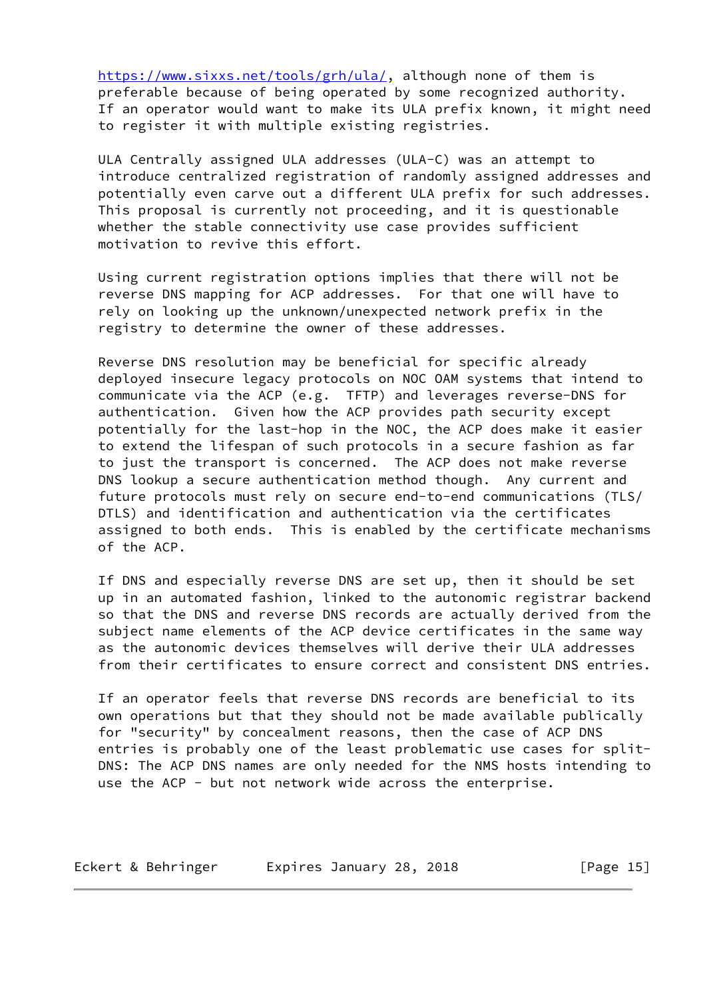<https://www.sixxs.net/tools/grh/ula/>, although none of them is preferable because of being operated by some recognized authority. If an operator would want to make its ULA prefix known, it might need to register it with multiple existing registries.

 ULA Centrally assigned ULA addresses (ULA-C) was an attempt to introduce centralized registration of randomly assigned addresses and potentially even carve out a different ULA prefix for such addresses. This proposal is currently not proceeding, and it is questionable whether the stable connectivity use case provides sufficient motivation to revive this effort.

 Using current registration options implies that there will not be reverse DNS mapping for ACP addresses. For that one will have to rely on looking up the unknown/unexpected network prefix in the registry to determine the owner of these addresses.

 Reverse DNS resolution may be beneficial for specific already deployed insecure legacy protocols on NOC OAM systems that intend to communicate via the ACP (e.g. TFTP) and leverages reverse-DNS for authentication. Given how the ACP provides path security except potentially for the last-hop in the NOC, the ACP does make it easier to extend the lifespan of such protocols in a secure fashion as far to just the transport is concerned. The ACP does not make reverse DNS lookup a secure authentication method though. Any current and future protocols must rely on secure end-to-end communications (TLS/ DTLS) and identification and authentication via the certificates assigned to both ends. This is enabled by the certificate mechanisms of the ACP.

 If DNS and especially reverse DNS are set up, then it should be set up in an automated fashion, linked to the autonomic registrar backend so that the DNS and reverse DNS records are actually derived from the subject name elements of the ACP device certificates in the same way as the autonomic devices themselves will derive their ULA addresses from their certificates to ensure correct and consistent DNS entries.

 If an operator feels that reverse DNS records are beneficial to its own operations but that they should not be made available publically for "security" by concealment reasons, then the case of ACP DNS entries is probably one of the least problematic use cases for split- DNS: The ACP DNS names are only needed for the NMS hosts intending to use the ACP - but not network wide across the enterprise.

| Eckert & Behringer | Expires January 28, 2018 | [Page 15] |
|--------------------|--------------------------|-----------|
|--------------------|--------------------------|-----------|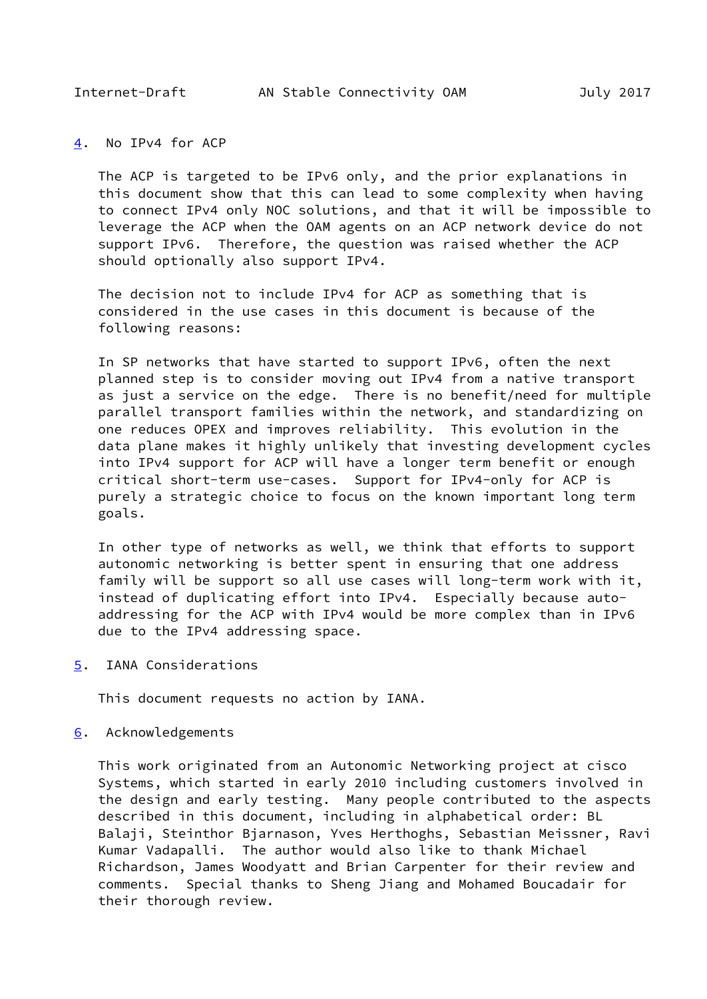<span id="page-17-1"></span>

### <span id="page-17-0"></span>[4](#page-17-0). No IPv4 for ACP

 The ACP is targeted to be IPv6 only, and the prior explanations in this document show that this can lead to some complexity when having to connect IPv4 only NOC solutions, and that it will be impossible to leverage the ACP when the OAM agents on an ACP network device do not support IPv6. Therefore, the question was raised whether the ACP should optionally also support IPv4.

 The decision not to include IPv4 for ACP as something that is considered in the use cases in this document is because of the following reasons:

 In SP networks that have started to support IPv6, often the next planned step is to consider moving out IPv4 from a native transport as just a service on the edge. There is no benefit/need for multiple parallel transport families within the network, and standardizing on one reduces OPEX and improves reliability. This evolution in the data plane makes it highly unlikely that investing development cycles into IPv4 support for ACP will have a longer term benefit or enough critical short-term use-cases. Support for IPv4-only for ACP is purely a strategic choice to focus on the known important long term goals.

 In other type of networks as well, we think that efforts to support autonomic networking is better spent in ensuring that one address family will be support so all use cases will long-term work with it, instead of duplicating effort into IPv4. Especially because auto addressing for the ACP with IPv4 would be more complex than in IPv6 due to the IPv4 addressing space.

<span id="page-17-2"></span>[5](#page-17-2). IANA Considerations

This document requests no action by IANA.

### <span id="page-17-3"></span>[6](#page-17-3). Acknowledgements

 This work originated from an Autonomic Networking project at cisco Systems, which started in early 2010 including customers involved in the design and early testing. Many people contributed to the aspects described in this document, including in alphabetical order: BL Balaji, Steinthor Bjarnason, Yves Herthoghs, Sebastian Meissner, Ravi Kumar Vadapalli. The author would also like to thank Michael Richardson, James Woodyatt and Brian Carpenter for their review and comments. Special thanks to Sheng Jiang and Mohamed Boucadair for their thorough review.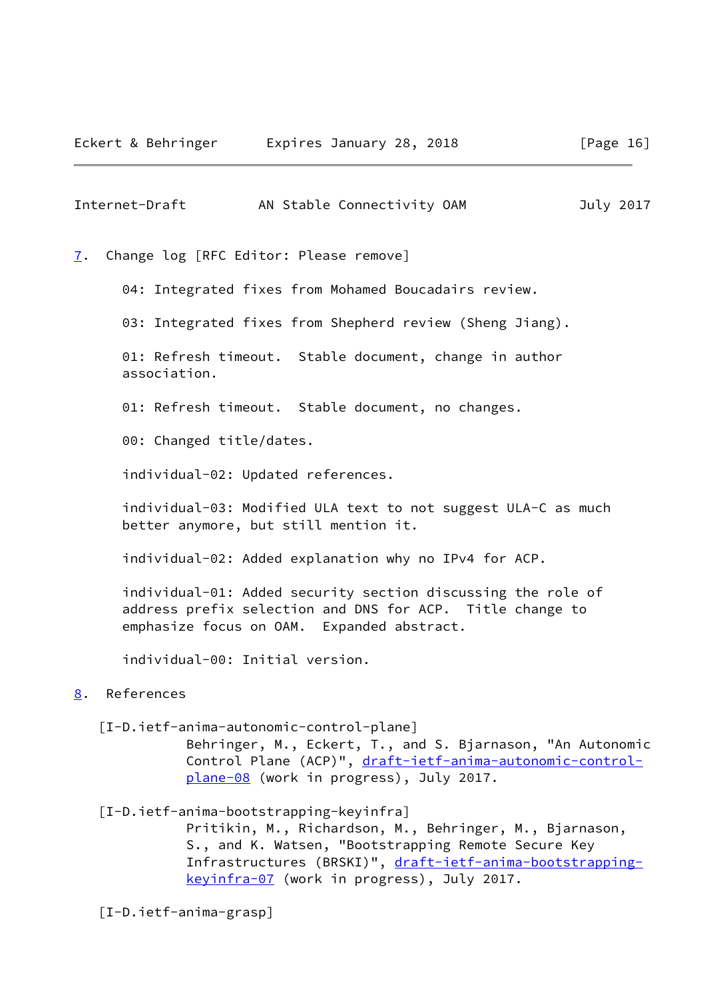<span id="page-18-1"></span>Internet-Draft AN Stable Connectivity OAM July 2017

<span id="page-18-0"></span>[7](#page-18-0). Change log [RFC Editor: Please remove]

04: Integrated fixes from Mohamed Boucadairs review.

03: Integrated fixes from Shepherd review (Sheng Jiang).

 01: Refresh timeout. Stable document, change in author association.

01: Refresh timeout. Stable document, no changes.

00: Changed title/dates.

individual-02: Updated references.

 individual-03: Modified ULA text to not suggest ULA-C as much better anymore, but still mention it.

individual-02: Added explanation why no IPv4 for ACP.

 individual-01: Added security section discussing the role of address prefix selection and DNS for ACP. Title change to emphasize focus on OAM. Expanded abstract.

individual-00: Initial version.

# <span id="page-18-2"></span>[8](#page-18-2). References

<span id="page-18-3"></span>[I-D.ietf-anima-autonomic-control-plane]

 Behringer, M., Eckert, T., and S. Bjarnason, "An Autonomic Control Plane (ACP)", [draft-ietf-anima-autonomic-control](https://datatracker.ietf.org/doc/pdf/draft-ietf-anima-autonomic-control-plane-08) [plane-08](https://datatracker.ietf.org/doc/pdf/draft-ietf-anima-autonomic-control-plane-08) (work in progress), July 2017.

<span id="page-18-4"></span>[I-D.ietf-anima-bootstrapping-keyinfra]

 Pritikin, M., Richardson, M., Behringer, M., Bjarnason, S., and K. Watsen, "Bootstrapping Remote Secure Key Infrastructures (BRSKI)", [draft-ietf-anima-bootstrapping](https://datatracker.ietf.org/doc/pdf/draft-ietf-anima-bootstrapping-keyinfra-07) [keyinfra-07](https://datatracker.ietf.org/doc/pdf/draft-ietf-anima-bootstrapping-keyinfra-07) (work in progress), July 2017.

<span id="page-18-5"></span>[I-D.ietf-anima-grasp]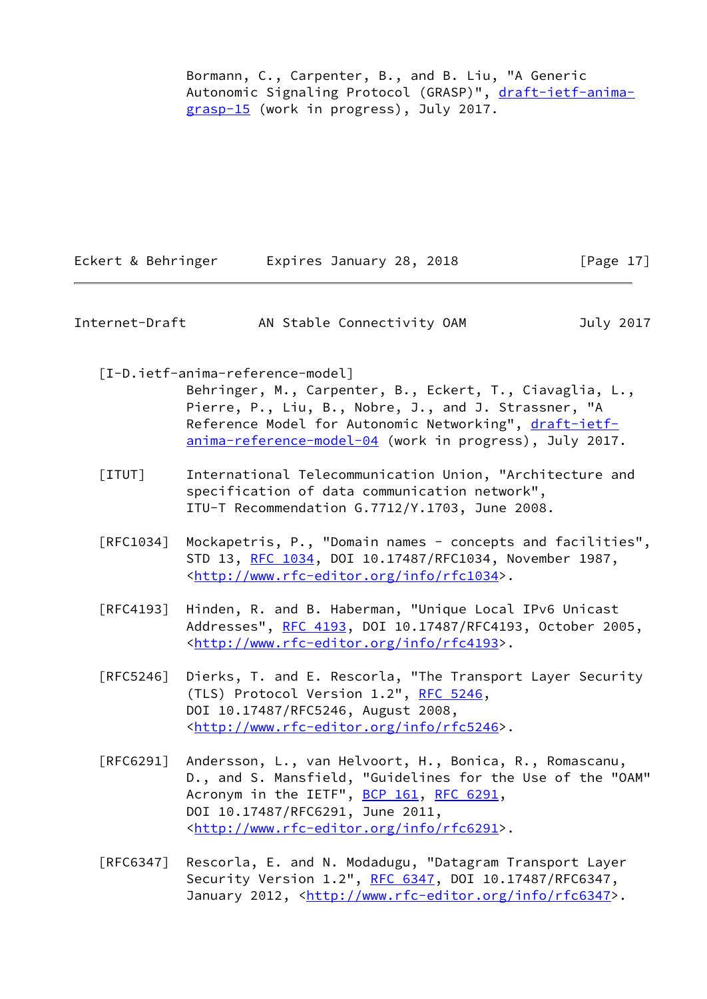Bormann, C., Carpenter, B., and B. Liu, "A Generic Autonomic Signaling Protocol (GRASP)", [draft-ietf-anima](https://datatracker.ietf.org/doc/pdf/draft-ietf-anima-grasp-15) [grasp-15](https://datatracker.ietf.org/doc/pdf/draft-ietf-anima-grasp-15) (work in progress), July 2017.

| Eckert & Behringer | Expires January 28, 2018 | [Page 17] |
|--------------------|--------------------------|-----------|
|                    |                          |           |

| Internet-Draft | AN Stable Connectivity OAM | July 2017 |
|----------------|----------------------------|-----------|
|----------------|----------------------------|-----------|

<span id="page-19-1"></span>[I-D.ietf-anima-reference-model]

 Behringer, M., Carpenter, B., Eckert, T., Ciavaglia, L., Pierre, P., Liu, B., Nobre, J., and J. Strassner, "A Reference Model for Autonomic Networking", [draft-ietf](https://datatracker.ietf.org/doc/pdf/draft-ietf-anima-reference-model-04) [anima-reference-model-04](https://datatracker.ietf.org/doc/pdf/draft-ietf-anima-reference-model-04) (work in progress), July 2017.

- <span id="page-19-0"></span> [ITUT] International Telecommunication Union, "Architecture and specification of data communication network", ITU-T Recommendation G.7712/Y.1703, June 2008.
- [RFC1034] Mockapetris, P., "Domain names concepts and facilities", STD 13, [RFC 1034,](https://datatracker.ietf.org/doc/pdf/rfc1034) DOI 10.17487/RFC1034, November 1987, <<http://www.rfc-editor.org/info/rfc1034>>.
- [RFC4193] Hinden, R. and B. Haberman, "Unique Local IPv6 Unicast Addresses", [RFC 4193,](https://datatracker.ietf.org/doc/pdf/rfc4193) DOI 10.17487/RFC4193, October 2005, <<http://www.rfc-editor.org/info/rfc4193>>.
- [RFC5246] Dierks, T. and E. Rescorla, "The Transport Layer Security (TLS) Protocol Version 1.2", [RFC 5246](https://datatracker.ietf.org/doc/pdf/rfc5246), DOI 10.17487/RFC5246, August 2008, <<http://www.rfc-editor.org/info/rfc5246>>.
- [RFC6291] Andersson, L., van Helvoort, H., Bonica, R., Romascanu, D., and S. Mansfield, "Guidelines for the Use of the "OAM" Acronym in the IETF", [BCP 161](https://datatracker.ietf.org/doc/pdf/bcp161), [RFC 6291](https://datatracker.ietf.org/doc/pdf/rfc6291), DOI 10.17487/RFC6291, June 2011, <<http://www.rfc-editor.org/info/rfc6291>>.
- [RFC6347] Rescorla, E. and N. Modadugu, "Datagram Transport Layer Security Version 1.2", [RFC 6347](https://datatracker.ietf.org/doc/pdf/rfc6347), DOI 10.17487/RFC6347, January 2012, [<http://www.rfc-editor.org/info/rfc6347](http://www.rfc-editor.org/info/rfc6347)>.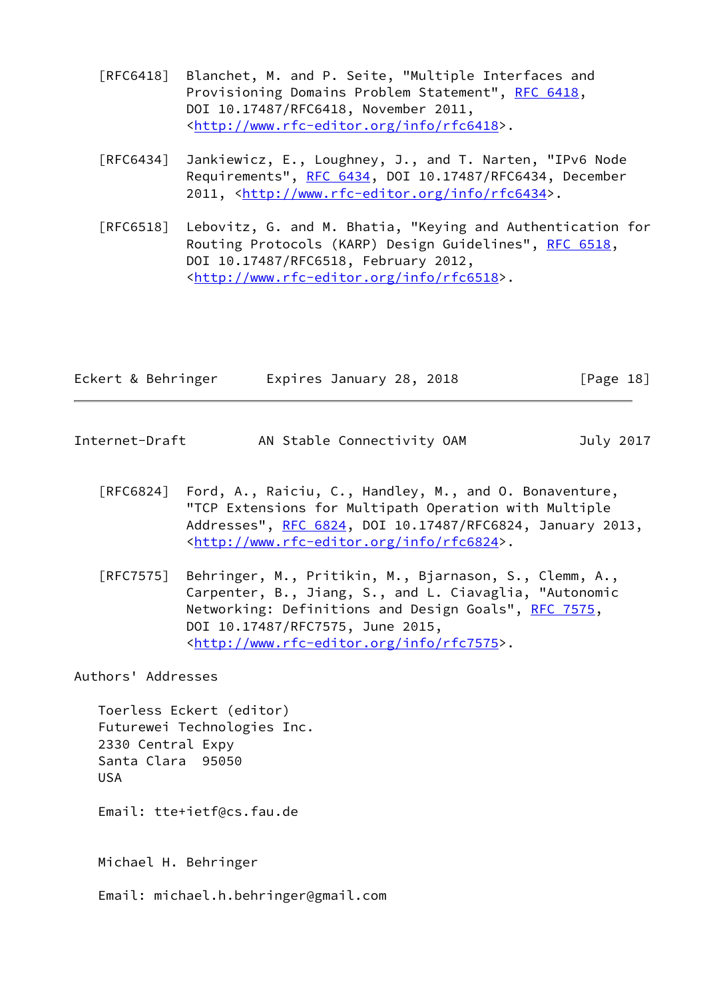- [RFC6418] Blanchet, M. and P. Seite, "Multiple Interfaces and Provisioning Domains Problem Statement", [RFC 6418,](https://datatracker.ietf.org/doc/pdf/rfc6418) DOI 10.17487/RFC6418, November 2011, <<http://www.rfc-editor.org/info/rfc6418>>.
- [RFC6434] Jankiewicz, E., Loughney, J., and T. Narten, "IPv6 Node Requirements", [RFC 6434](https://datatracker.ietf.org/doc/pdf/rfc6434), DOI 10.17487/RFC6434, December 2011, [<http://www.rfc-editor.org/info/rfc6434](http://www.rfc-editor.org/info/rfc6434)>.
- [RFC6518] Lebovitz, G. and M. Bhatia, "Keying and Authentication for Routing Protocols (KARP) Design Guidelines", [RFC 6518](https://datatracker.ietf.org/doc/pdf/rfc6518), DOI 10.17487/RFC6518, February 2012, <<http://www.rfc-editor.org/info/rfc6518>>.

| Eckert & Behringer | Expires January 28, 2018 | [Page 18] |
|--------------------|--------------------------|-----------|
|                    |                          |           |

- <span id="page-20-0"></span>Internet-Draft AN Stable Connectivity OAM July 2017
	- [RFC6824] Ford, A., Raiciu, C., Handley, M., and O. Bonaventure, "TCP Extensions for Multipath Operation with Multiple Addresses", [RFC 6824,](https://datatracker.ietf.org/doc/pdf/rfc6824) DOI 10.17487/RFC6824, January 2013, <<http://www.rfc-editor.org/info/rfc6824>>.
	- [RFC7575] Behringer, M., Pritikin, M., Bjarnason, S., Clemm, A., Carpenter, B., Jiang, S., and L. Ciavaglia, "Autonomic Networking: Definitions and Design Goals", [RFC 7575](https://datatracker.ietf.org/doc/pdf/rfc7575), DOI 10.17487/RFC7575, June 2015, <<http://www.rfc-editor.org/info/rfc7575>>.

Authors' Addresses

 Toerless Eckert (editor) Futurewei Technologies Inc. 2330 Central Expy Santa Clara 95050 USA

Email: tte+ietf@cs.fau.de

Michael H. Behringer

Email: michael.h.behringer@gmail.com